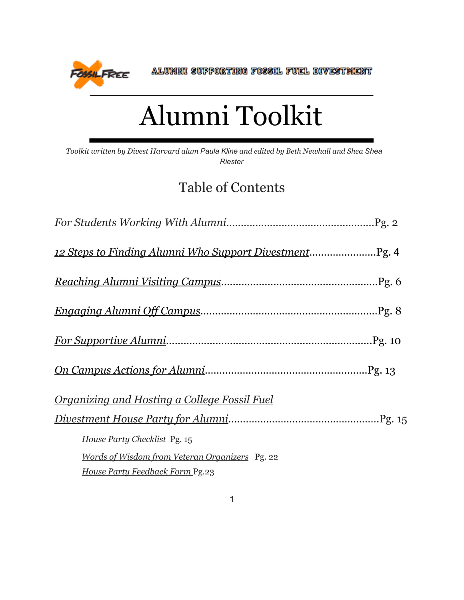**FOSSILFREE** 

ALUMNI SUPPORTING FOSSIL FUEL DIVESTMENT

## Alumni Toolkit

*Toolkit written by Divest Harvard alum Paula Kline and edited by Beth Newhall and Shea Shea Riester*

## Table of Contents

| <u>Organizing and Hosting a College Fossil Fuel</u> |
|-----------------------------------------------------|
|                                                     |
| House Party Checklist Pg. 15                        |
| Words of Wisdom from Veteran Organizers Pg. 22      |
| House Party Feedback Form Pg.23                     |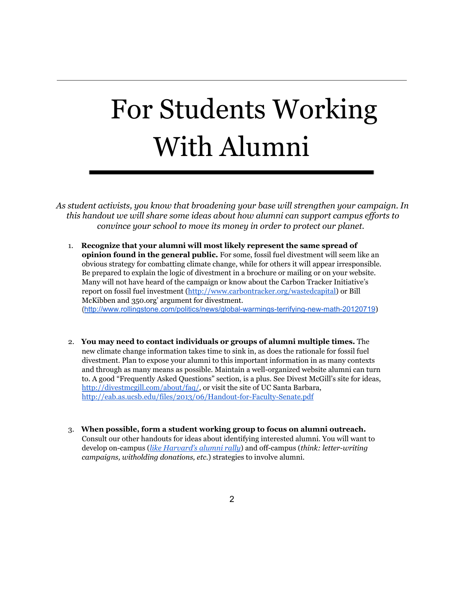# For Students Working With Alumni

*As student activists, you know that broadening your base will strengthen your campaign. In this handout we will share some ideas about how alumni can support campus ef orts to convince your school to move its money in order to protect our planet.*

- 1. **Recognize that your alumni will most likely represent the same spread of opinion found in the general public.** For some, fossil fuel divestment will seem like an obvious strategy for combatting climate change, while for others it will appear irresponsible. Be prepared to explain the logic of divestment in a brochure or mailing or on your website. Many will not have heard of the campaign or know about the Carbon Tracker Initiative's report on fossil fuel investment [\(http://www.carbontracker.org/wastedcapital\)](http://www.google.com/url?q=http%3A%2F%2Fwww.carbontracker.org%2Fwastedcapital&sa=D&sntz=1&usg=AFQjCNFi0EEQkVhStkkeDPqBfdyI1HaRzw) or Bill McKibben and 350.org' argument for divestment. (http://www.rollingstone.com/politics/news/global-warmings-terrifying-new-math-20120719)
- 2. **You may need to contact individuals or groups of alumni multiple times.** The new climate change information takes time to sink in, as does the rationale for fossil fuel divestment. Plan to expose your alumni to this important information in as many contexts and through as many means as possible. Maintain a well-organized website alumni can turn to. A good "Frequently Asked Questions" section, is a plus. See Divest McGill's site for ideas, [http://divestmcgill.com/about/faq/,](http://www.google.com/url?q=http%3A%2F%2Fdivestmcgill.com%2Fabout%2Ffaq%2F&sa=D&sntz=1&usg=AFQjCNHgMGBlm_WmdutlnPwBse9Oy8eITQ) or visit the site of UC Santa Barbara, [http://eab.as.ucsb.edu/files/2013/06/Handout-for-Faculty-Senate.pdf](http://www.google.com/url?q=http%3A%2F%2Feab.as.ucsb.edu%2Ffiles%2F2013%2F06%2FHandout-for-Faculty-Senate.pdf&sa=D&sntz=1&usg=AFQjCNH0QSrwmjb4w-u0Kf_PbTZzXDbYuA)
- 3. **When possible, form a student working group to focus on alumni outreach.** Consult our other handouts for ideas about identifying interested alumni. You will want to develop on-campus (*like [Harvard's](http://www.google.com/url?q=http%3A%2F%2Fharvardpolitics.com%2Fharvard%2Fdivestment-building-seen-and-heard-at-alumni-divestment-rally%2F&sa=D&sntz=1&usg=AFQjCNEAxHNdFIYMd1nPbkB9_OxpfjR9rw) alumni rally*) and off-campus (*think: letter-writing campaigns, witholding donations, etc.*) strategies to involve alumni.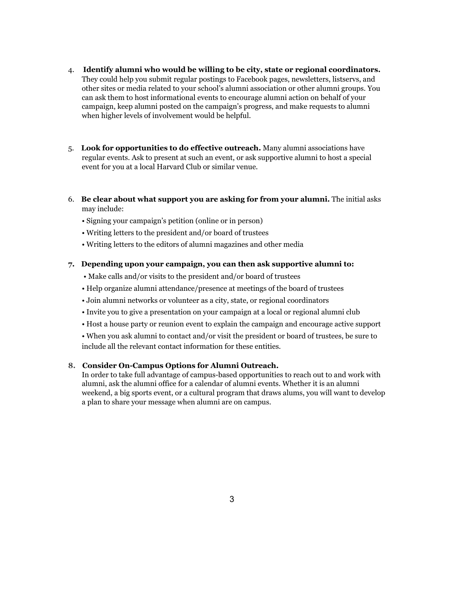- 4. **Identify alumni who would be willing to be city, state or regional coordinators.** They could help you submit regular postings to Facebook pages, newsletters, listservs, and other sites or media related to your school's alumni association or other alumni groups. You can ask them to host informational events to encourage alumni action on behalf of your campaign, keep alumni posted on the campaign's progress, and make requests to alumni when higher levels of involvement would be helpful.
- 5. **Look for opportunities to do effective outreach.** Many alumni associations have regular events. Ask to present at such an event, or ask supportive alumni to host a special event for you at a local Harvard Club or similar venue.
- 6. **Be clear about what support you are asking for from your alumni.** The initial asks may include:
	- Signing your campaign's petition (online or in person)
	- Writing letters to the president and/or board of trustees
	- Writing letters to the editors of alumni magazines and other media

#### **7. Depending upon your campaign, you can then ask supportive alumni to:**

- Make calls and/or visits to the president and/or board of trustees
- Help organize alumni attendance/presence at meetings of the board of trustees
- Join alumni networks or volunteer as a city, state, or regional coordinators
- Invite you to give a presentation on your campaign at a local or regional alumni club
- Host a house party or reunion event to explain the campaign and encourage active support

• When you ask alumni to contact and/or visit the president or board of trustees, be sure to include all the relevant contact information for these entities.

#### **8. Consider On-Campus Options for Alumni Outreach.**

In order to take full advantage of campus-based opportunities to reach out to and work with alumni, ask the alumni office for a calendar of alumni events. Whether it is an alumni weekend, a big sports event, or a cultural program that draws alums, you will want to develop a plan to share your message when alumni are on campus.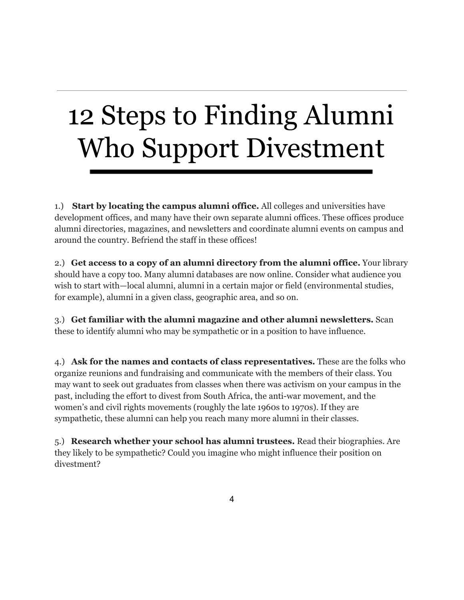# 12 Steps to Finding Alumni Who Support Divestment

1.) **Start by locating the campus alumni office.** All colleges and universities have development offices, and many have their own separate alumni offices. These offices produce alumni directories, magazines, and newsletters and coordinate alumni events on campus and around the country. Befriend the staff in these offices!

2.) **Get access to a copy of an alumni directory from the alumni office.** Your library should have a copy too. Many alumni databases are now online. Consider what audience you wish to start with—local alumni, alumni in a certain major or field (environmental studies, for example), alumni in a given class, geographic area, and so on.

3.) **Get familiar with the alumni magazine and other alumni newsletters.** Scan these to identify alumni who may be sympathetic or in a position to have influence.

4.) **Ask for the names and contacts of class representatives.** These are the folks who organize reunions and fundraising and communicate with the members of their class. You may want to seek out graduates from classes when there was activism on your campus in the past, including the effort to divest from South Africa, the anti-war movement, and the women's and civil rights movements (roughly the late 1960s to 1970s). If they are sympathetic, these alumni can help you reach many more alumni in their classes.

5.) **Research whether your school has alumni trustees.** Read their biographies. Are they likely to be sympathetic? Could you imagine who might influence their position on divestment?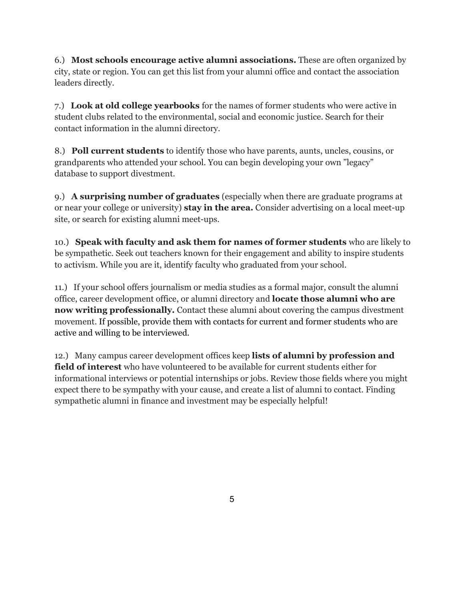6.) **Most schools encourage active alumni associations.** These are often organized by city, state or region. You can get this list from your alumni office and contact the association leaders directly.

7.) **Look at old college yearbooks** for the names of former students who were active in student clubs related to the environmental, social and economic justice. Search for their contact information in the alumni directory.

8.) **Poll current students** to identify those who have parents, aunts, uncles, cousins, or grandparents who attended your school. You can begin developing your own "legacy" database to support divestment.

9.) **A surprising number of graduates** (especially when there are graduate programs at or near your college or university) **stay in the area.** Consider advertising on a local meet-up site, or search for existing alumni meet-ups.

10.) **Speak with faculty and ask them for names of former students** who are likely to be sympathetic. Seek out teachers known for their engagement and ability to inspire students to activism. While you are it, identify faculty who graduated from your school.

11.) If your school offers journalism or media studies as a formal major, consult the alumni office, career development office, or alumni directory and **locate those alumni who are now writing professionally.** Contact these alumni about covering the campus divestment movement. If possible, provide them with contacts for current and former students who are active and willing to be interviewed.

12.) Many campus career development offices keep **lists of alumni by profession and field of interest** who have volunteered to be available for current students either for informational interviews or potential internships or jobs. Review those fields where you might expect there to be sympathy with your cause, and create a list of alumni to contact. Finding sympathetic alumni in finance and investment may be especially helpful!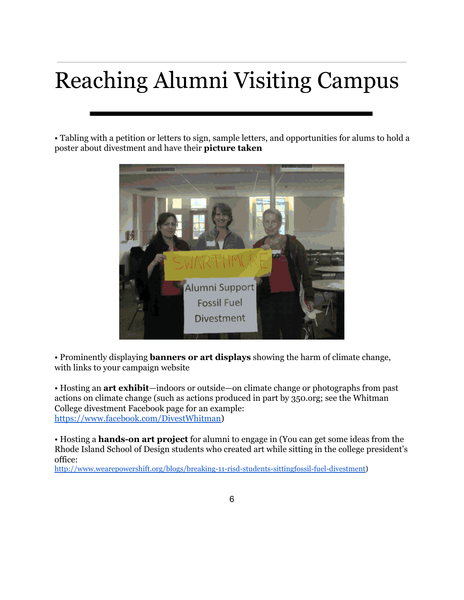## Reaching Alumni Visiting Campus

• Tabling with a petition or letters to sign, sample letters, and opportunities for alums to hold a poster about divestment and have their **picture taken**



• Prominently displaying **banners or art displays** showing the harm of climate change, with links to your campaign website

• Hosting an **art exhibit**—indoors or outside—on climate change or photographs from past actions on climate change (such as actions produced in part by 350.org; see the Whitman College divestment Facebook page for an example: [https://www.facebook.com/DivestWhitman\)](https://www.google.com/url?q=https%3A%2F%2Fwww.facebook.com%2FDivestWhitman&sa=D&sntz=1&usg=AFQjCNFWaoxyG49jDm4u8kRkXQjjwpN-jw)

• Hosting a **hands-on art project** for alumni to engage in (You can get some ideas from the Rhode Island School of Design students who created art while sitting in the college president's office:

[http://www.wearepowershift.org/blogs/breaking-11-risd-students-sittingfossil-fuel-divestment\)](http://www.google.com/url?q=http%3A%2F%2Fwww.wearepowershift.org%2Fblogs%2Fbreaking-11-risd-students-sittingfossil-fuel-divestment&sa=D&sntz=1&usg=AFQjCNEdg-esWGJwau1TORfPc7uaUc4WXw)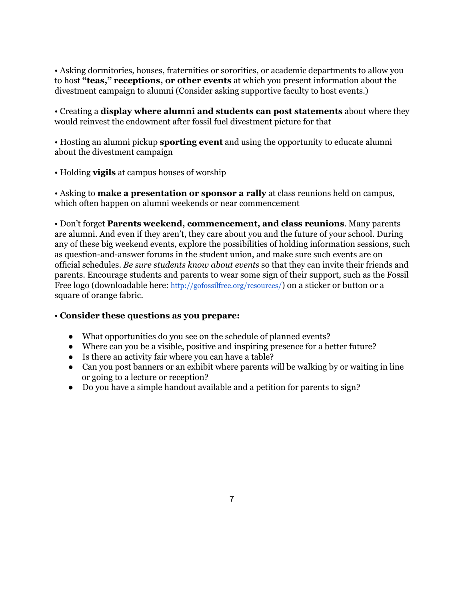• Asking dormitories, houses, fraternities or sororities, or academic departments to allow you to host **"teas," receptions, or other events** at which you present information about the divestment campaign to alumni (Consider asking supportive faculty to host events.)

• Creating a **display where alumni and students can post statements** about where they would reinvest the endowment after fossil fuel divestment picture for that

• Hosting an alumni pickup **sporting event** and using the opportunity to educate alumni about the divestment campaign

• Holding **vigils** at campus houses of worship

• Asking to **make a presentation or sponsor a rally** at class reunions held on campus, which often happen on alumni weekends or near commencement

• Don't forget **Parents weekend, commencement, and class reunions**. Many parents are alumni. And even if they aren't, they care about you and the future of your school. During any of these big weekend events, explore the possibilities of holding information sessions, such as question-and-answer forums in the student union, and make sure such events are on official schedules. *Be sure students know about events* so that they can invite their friends and parents. Encourage students and parents to wear some sign of their support, such as the Fossil Free logo (downloadable here: [http://gofossilfree.org/resources/](http://www.google.com/url?q=http%3A%2F%2Fgofossilfree.org%2Fresources%2F&sa=D&sntz=1&usg=AFQjCNGdghGt5nhU65y08az9v-jyCf6p4g)) on a sticker or button or a square of orange fabric.

### • **Consider these questions as you prepare:**

- What opportunities do you see on the schedule of planned events?
- Where can you be a visible, positive and inspiring presence for a better future?
- Is there an activity fair where you can have a table?
- Can you post banners or an exhibit where parents will be walking by or waiting in line or going to a lecture or reception?
- Do you have a simple handout available and a petition for parents to sign?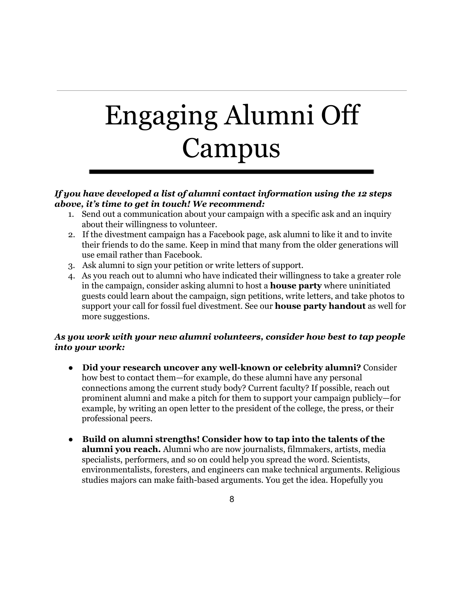# Engaging Alumni Off Campus

#### *If you have developed a list of alumni contact information using the 12 steps above, it's time to get in touch! We recommend:*

- 1. Send out a communication about your campaign with a specific ask and an inquiry about their willingness to volunteer.
- 2. If the divestment campaign has a Facebook page, ask alumni to like it and to invite their friends to do the same. Keep in mind that many from the older generations will use email rather than Facebook.
- 3. Ask alumni to sign your petition or write letters of support.
- 4. As you reach out to alumni who have indicated their willingness to take a greater role in the campaign, consider asking alumni to host a **house party** where uninitiated guests could learn about the campaign, sign petitions, write letters, and take photos to support your call for fossil fuel divestment. See our **house party handout** as well for more suggestions.

### *As you work with your new alumni volunteers, consider how best to tap people into your work:*

- **Did your research uncover any well-known or celebrity alumni?** Consider how best to contact them—for example, do these alumni have any personal connections among the current study body? Current faculty? If possible, reach out prominent alumni and make a pitch for them to support your campaign publicly—for example, by writing an open letter to the president of the college, the press, or their professional peers.
- **Build on alumni strengths! Consider how to tap into the talents of the alumni you reach.** Alumni who are now journalists, filmmakers, artists, media specialists, performers, and so on could help you spread the word. Scientists, environmentalists, foresters, and engineers can make technical arguments. Religious studies majors can make faith-based arguments. You get the idea. Hopefully you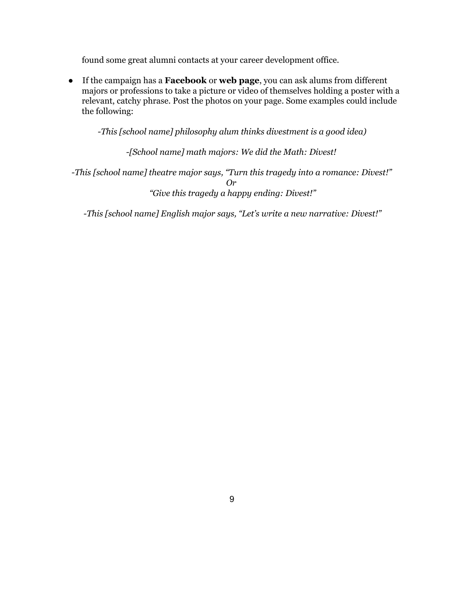found some great alumni contacts at your career development office.

● If the campaign has a **Facebook** or **web page**, you can ask alums from different majors or professions to take a picture or video of themselves holding a poster with a relevant, catchy phrase. Post the photos on your page. Some examples could include the following:

*-This [school name] philosophy alum thinks divestment is a good idea)*

*-[School name] math majors: We did the Math: Divest!*

*-This [school name] theatre major says, "Turn this tragedy into a romance: Divest!" Or "Give this tragedy a happy ending: Divest!"*

*-This [school name] English major says, "Let's write a new narrative: Divest!"*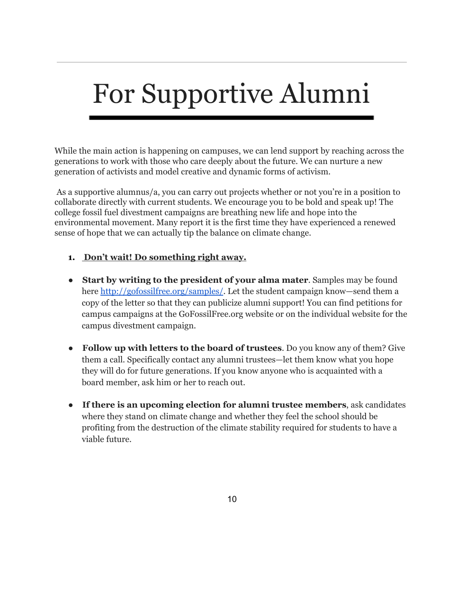## For Supportive Alumni

While the main action is happening on campuses, we can lend support by reaching across the generations to work with those who care deeply about the future. We can nurture a new generation of activists and model creative and dynamic forms of activism.

As a supportive alumnus/a, you can carry out projects whether or not you're in a position to collaborate directly with current students. We encourage you to be bold and speak up! The college fossil fuel divestment campaigns are breathing new life and hope into the environmental movement. Many report it is the first time they have experienced a renewed sense of hope that we can actually tip the balance on climate change.

### **1. Don't wait! Do something right away.**

- **Start by writing to the president of your alma mater**. Samples may be found here [http://gofossilfree.org/samples/.](http://www.google.com/url?q=http%3A%2F%2Fgofossilfree.org%2Fsamples%2F&sa=D&sntz=1&usg=AFQjCNERgcHq0rHf7au9OsolDtCpX626CQ) Let the student campaign know—send them a copy of the letter so that they can publicize alumni support! You can find petitions for campus campaigns at the GoFossilFree.org website or on the individual website for the campus divestment campaign.
- **Follow up with letters to the board of trustees**. Do you know any of them? Give them a call. Specifically contact any alumni trustees—let them know what you hope they will do for future generations. If you know anyone who is acquainted with a board member, ask him or her to reach out.
- **If there is an upcoming election for alumni trustee members**, ask candidates where they stand on climate change and whether they feel the school should be profiting from the destruction of the climate stability required for students to have a viable future.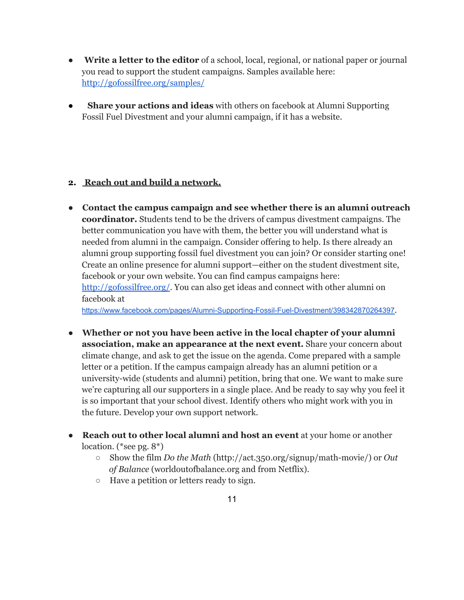- **Write a letter to the editor** of a school, local, regional, or national paper or journal you read to support the student campaigns. Samples available here: [http://gofossilfree.org/samples/](http://www.google.com/url?q=http%3A%2F%2Fgofossilfree.org%2Fsamples%2F&sa=D&sntz=1&usg=AFQjCNERgcHq0rHf7au9OsolDtCpX626CQ)
- **Share your actions and ideas** with others on facebook at Alumni Supporting Fossil Fuel Divestment and your alumni campaign, if it has a website.

### **2. Reach out and build a network.**

- **Contact the campus campaign and see whether there is an alumni outreach coordinator.** Students tend to be the drivers of campus divestment campaigns. The better communication you have with them, the better you will understand what is needed from alumni in the campaign. Consider offering to help. Is there already an alumni group supporting fossil fuel divestment you can join? Or consider starting one! Create an online presence for alumni support—either on the student divestment site, facebook or your own website. You can find campus campaigns here: [http://gofossilfree.org/.](http://www.google.com/url?q=http%3A%2F%2Fgofossilfree.org%2F&sa=D&sntz=1&usg=AFQjCNHd33wGBa6TqwKhoX0CGbaBobzgDQ) You can also get ideas and connect with other alumni on facebook at https://www.facebook.com/pages/Alumni-Supporting-Fossil-Fuel-Divestment/398342870264397.
- **Whether or not you have been active in the local chapter of your alumni association, make an appearance at the next event.** Share your concern about climate change, and ask to get the issue on the agenda. Come prepared with a sample letter or a petition. If the campus campaign already has an alumni petition or a university-wide (students and alumni) petition, bring that one. We want to make sure we're capturing all our supporters in a single place. And be ready to say why you feel it is so important that your school divest. Identify others who might work with you in the future. Develop your own support network.
- **Reach out to other local alumni and host an event** at your home or another location. (\*see pg. 8\*)
	- Show the film *Do the Math* (http://act.350.org/signup/math-movie/) or *Out of Balance* (worldoutofbalance.org and from Netflix).
	- Have a petition or letters ready to sign.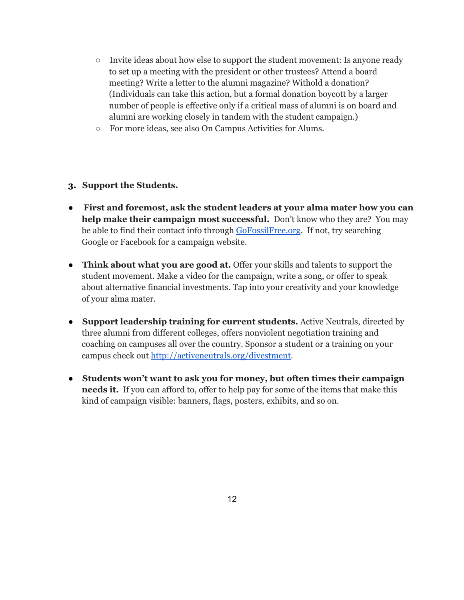- $\circ$  Invite ideas about how else to support the student movement: Is anyone ready to set up a meeting with the president or other trustees? Attend a board meeting? Write a letter to the alumni magazine? Withold a donation? (Individuals can take this action, but a formal donation boycott by a larger number of people is effective only if a critical mass of alumni is on board and alumni are working closely in tandem with the student campaign.)
- **○** For more ideas, see also On Campus Activities for Alums.

#### **3. Support the Students.**

- **First and foremost, ask the student leaders at your alma mater how you can help make their campaign most successful.** Don't know who they are? You may be able to find their contact info through [GoFossilFree.org.](http://www.google.com/url?q=http%3A%2F%2Fgofossilfree.org%2F&sa=D&sntz=1&usg=AFQjCNHd33wGBa6TqwKhoX0CGbaBobzgDQ) If not, try searching Google or Facebook for a campaign website.
- **Think about what you are good at.** Offer your skills and talents to support the student movement. Make a video for the campaign, write a song, or offer to speak about alternative financial investments. Tap into your creativity and your knowledge of your alma mater.
- **Support leadership training for current students.** Active Neutrals, directed by three alumni from different colleges, offers nonviolent negotiation training and coaching on campuses all over the country. Sponsor a student or a training on your campus check out [http://activeneutrals.org/divestment.](http://www.google.com/url?q=http%3A%2F%2Factiveneutrals.org%2Fdivestment&sa=D&sntz=1&usg=AFQjCNHw6t2H0jgYiXZWCxV3xjpKUY197g)
- **Students won't want to ask you for money, but often times their campaign needs it.** If you can afford to, offer to help pay for some of the items that make this kind of campaign visible: banners, flags, posters, exhibits, and so on.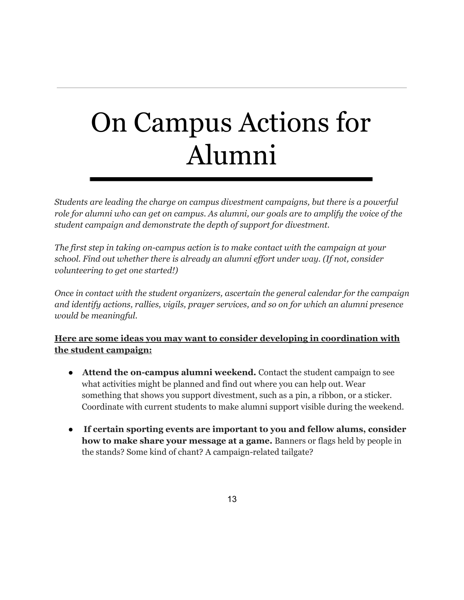## On Campus Actions for Alumni

*Students are leading the charge on campus divestment campaigns, but there is a powerful role for alumni who can get on campus. As alumni, our goals are to amplify the voice of the student campaign and demonstrate the depth of support for divestment.*

*The first step in taking on-campus action is to make contact with the campaign at your school. Find out whether there is already an alumni ef ort under way. (If not, consider volunteering to get one started!)*

*Once in contact with the student organizers, ascertain the general calendar for the campaign and identify actions, rallies, vigils, prayer services, and so on for which an alumni presence would be meaningful.*

### **Here are some ideas you may want to consider developing in coordination with the student campaign:**

- **Attend the on-campus alumni weekend.** Contact the student campaign to see what activities might be planned and find out where you can help out. Wear something that shows you support divestment, such as a pin, a ribbon, or a sticker. Coordinate with current students to make alumni support visible during the weekend.
- **If certain sporting events are important to you and fellow alums, consider how to make share your message at a game.** Banners or flags held by people in the stands? Some kind of chant? A campaign-related tailgate?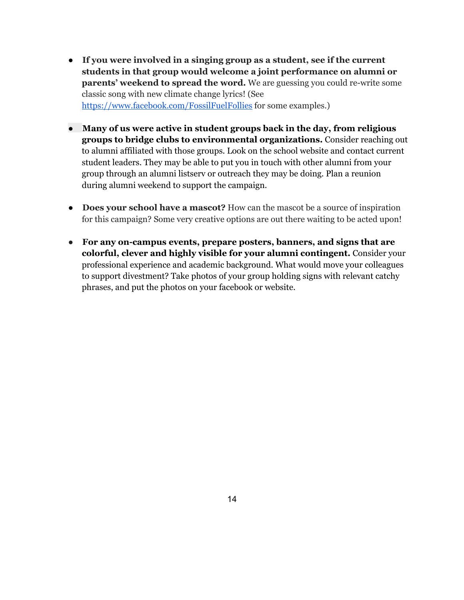- **If you were involved in a singing group as a student, see if the current students in that group would welcome a joint performance on alumni or parents' weekend to spread the word.** We are guessing you could re-write some classic song with new climate change lyrics! (See [https://www.facebook.com/FossilFuelFollies](https://www.google.com/url?q=https%3A%2F%2Fwww.facebook.com%2FFossilFuelFollies&sa=D&sntz=1&usg=AFQjCNHfBg5aIhLXMIqtzATklxebnTZRvw) for some examples.)
- **Many of us were active in student groups back in the day, from religious groups to bridge clubs to environmental organizations.** Consider reaching out to alumni affiliated with those groups. Look on the school website and contact current student leaders. They may be able to put you in touch with other alumni from your group through an alumni listserv or outreach they may be doing. Plan a reunion during alumni weekend to support the campaign.
- **Does your school have a mascot?** How can the mascot be a source of inspiration for this campaign? Some very creative options are out there waiting to be acted upon!
- **For any on-campus events, prepare posters, banners, and signs that are colorful, clever and highly visible for your alumni contingent.** Consider your professional experience and academic background. What would move your colleagues to support divestment? Take photos of your group holding signs with relevant catchy phrases, and put the photos on your facebook or website.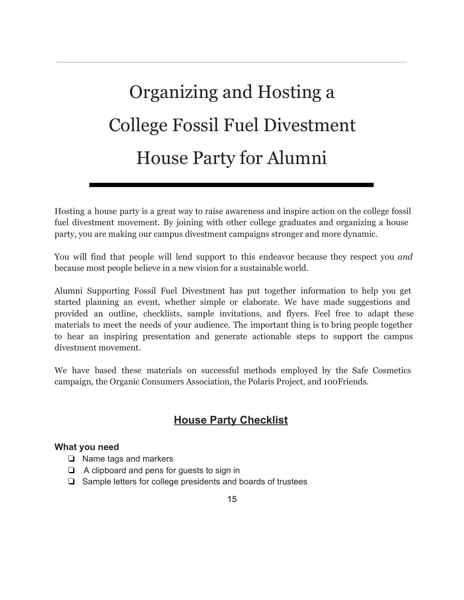## Organizing and Hosting a College Fossil Fuel Divestment House Party for Alumni

Hosting a house party is a great way to raise awareness and inspire action on the college fossil fuel divestment movement. By joining with other college graduates and organizing a house party, you are making our campus divestment campaigns stronger and more dynamic.

You will find that people will lend support to this endeavor because they respect you *and* because most people believe in a new vision for a sustainable world.

Alumni Supporting Fossil Fuel Divestment has put together information to help you get started planning an event, whether simple or elaborate. We have made suggestions and provided an outline, checklists, sample invitations, and flyers. Feel free to adapt these materials to meet the needs of your audience. The important thing is to bring people together to hear an inspiring presentation and generate actionable steps to support the campus divestment movement.

We have based these materials on successful methods employed by the Safe Cosmetics campaign, the Organic Consumers Association, the Polaris Project, and 100Friends.

## **House Party Checklist**

### **What you need**

- ❏ Name tags and markers
- ❏ A clipboard and pens for guests to sign in
- ❏ Sample letters for college presidents and boards of trustees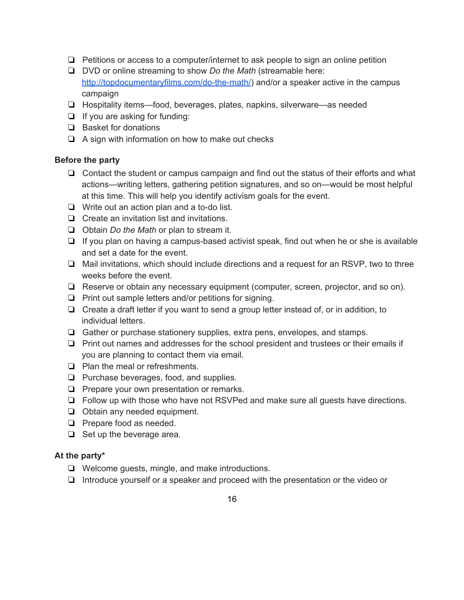- ❏ Petitions or access to a computer/internet to ask people to sign an online petition
- ❏ DVD or online streaming to show *Do the Math* (streamable here: http://topdocumentaryfilms.com/do-the-math/) and/or a speaker active in the campus campaign
- ❏ Hospitality items—food, beverages, plates, napkins, silverware—as needed
- ❏ If you are asking for funding:
- ❏ Basket for donations
- ❏ A sign with information on how to make out checks

#### **Before the party**

- ❏ Contact the student or campus campaign and find out the status of their efforts and what actions—writing letters, gathering petition signatures, and so on—would be most helpful at this time. This will help you identify activism goals for the event.
- $\Box$  Write out an action plan and a to-do list.
- ❏ Create an invitation list and invitations.
- ❏ Obtain *Do the Math* or plan to stream it.
- $\Box$  If you plan on having a campus-based activist speak, find out when he or she is available and set a date for the event.
- ❏ Mail invitations, which should include directions and a request for an RSVP, two to three weeks before the event.
- ❏ Reserve or obtain any necessary equipment (computer, screen, projector, and so on).
- ❏ Print out sample letters and/or petitions for signing.
- ❏ Create a draft letter if you want to send a group letter instead of, or in addition, to individual letters.
- ❏ Gather or purchase stationery supplies, extra pens, envelopes, and stamps.
- ❏ Print out names and addresses for the school president and trustees or their emails if you are planning to contact them via email.
- ❏ Plan the meal or refreshments.
- ❏ Purchase beverages, food, and supplies.
- ❏ Prepare your own presentation or remarks.
- ❏ Follow up with those who have not RSVPed and make sure all guests have directions.
- ❏ Obtain any needed equipment.
- ❏ Prepare food as needed.
- ❏ Set up the beverage area.

#### **At the party\***

- ❏ Welcome guests, mingle, and make introductions.
- ❏ Introduce yourself or a speaker and proceed with the presentation or the video or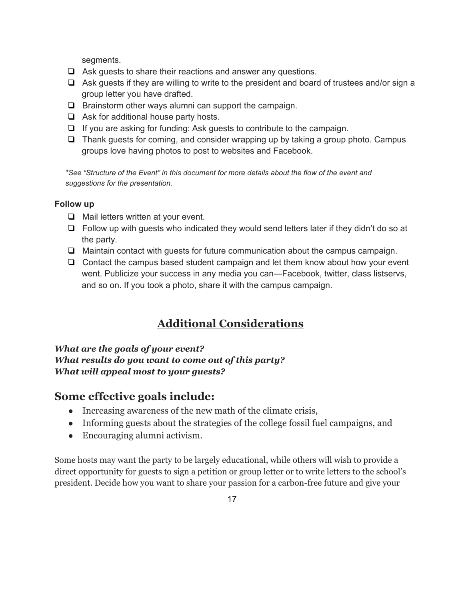segments.

- ❏ Ask guests to share their reactions and answer any questions.
- ❏ Ask guests if they are willing to write to the president and board of trustees and/or sign a group letter you have drafted.
- ❏ Brainstorm other ways alumni can support the campaign.
- ❏ Ask for additional house party hosts.
- ❏ If you are asking for funding: Ask guests to contribute to the campaign.
- ❏ Thank guests for coming, and consider wrapping up by taking a group photo. Campus groups love having photos to post to websites and Facebook.

*\*See "Structure of the Event" in this document for more details about the flow of the event and suggestions for the presentation.*

#### **Follow up**

- ❏ Mail letters written at your event.
- ❏ Follow up with guests who indicated they would send letters later if they didn't do so at the party.
- ❏ Maintain contact with guests for future communication about the campus campaign.
- ❏ Contact the campus based student campaign and let them know about how your event went. Publicize your success in any media you can—Facebook, twitter, class listservs, and so on. If you took a photo, share it with the campus campaign.

## **Additional Considerations**

*What are the goals of your event? What results do you want to come out of this party? What will appeal most to your guests?*

### **Some effective goals include:**

- Increasing awareness of the new math of the climate crisis,
- Informing guests about the strategies of the college fossil fuel campaigns, and
- Encouraging alumni activism.

Some hosts may want the party to be largely educational, while others will wish to provide a direct opportunity for guests to sign a petition or group letter or to write letters to the school's president. Decide how you want to share your passion for a carbon-free future and give your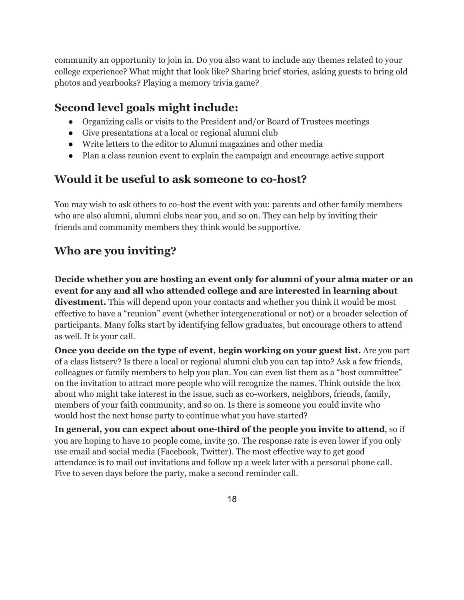community an opportunity to join in. Do you also want to include any themes related to your college experience? What might that look like? Sharing brief stories, asking guests to bring old photos and yearbooks? Playing a memory trivia game?

## **Second level goals might include:**

- Organizing calls or visits to the President and/or Board of Trustees meetings
- Give presentations at a local or regional alumni club
- Write letters to the editor to Alumni magazines and other media
- Plan a class reunion event to explain the campaign and encourage active support

## **Would it be useful to ask someone to co-host?**

You may wish to ask others to co-host the event with you: parents and other family members who are also alumni, alumni clubs near you, and so on. They can help by inviting their friends and community members they think would be supportive.

## **Who are you inviting?**

**Decide whether you are hosting an event only for alumni of your alma mater or an event for any and all who attended college and are interested in learning about divestment.** This will depend upon your contacts and whether you think it would be most effective to have a "reunion" event (whether intergenerational or not) or a broader selection of participants. Many folks start by identifying fellow graduates, but encourage others to attend as well. It is your call.

**Once you decide on the type of event, begin working on your guest list.** Are you part of a class listserv? Is there a local or regional alumni club you can tap into? Ask a few friends, colleagues or family members to help you plan. You can even list them as a "host committee" on the invitation to attract more people who will recognize the names. Think outside the box about who might take interest in the issue, such as co-workers, neighbors, friends, family, members of your faith community, and so on. Is there is someone you could invite who would host the next house party to continue what you have started?

**In general, you can expect about one-third of the people you invite to attend**, so if you are hoping to have 10 people come, invite 30. The response rate is even lower if you only use email and social media (Facebook, Twitter). The most effective way to get good attendance is to mail out invitations and follow up a week later with a personal phone call. Five to seven days before the party, make a second reminder call.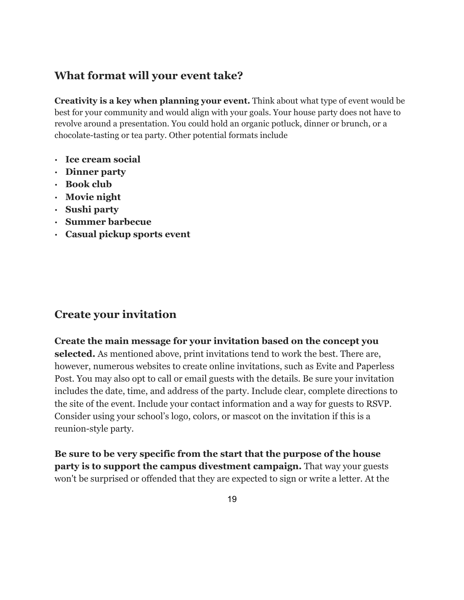### **What format will your event take?**

**Creativity is a key when planning your event.** Think about what type of event would be best for your community and would align with your goals. Your house party does not have to revolve around a presentation. You could hold an organic potluck, dinner or brunch, or a chocolate-tasting or tea party. Other potential formats include

- **· Ice cream social**
- **· Dinner party**
- **· Book club**
- **· Movie night**
- **· Sushi party**
- **· Summer barbecue**
- **· Casual pickup sports event**

### **Create your invitation**

**Create the main message for your invitation based on the concept you selected.** As mentioned above, print invitations tend to work the best. There are, however, numerous websites to create online invitations, such as Evite and Paperless Post. You may also opt to call or email guests with the details. Be sure your invitation includes the date, time, and address of the party. Include clear, complete directions to the site of the event. Include your contact information and a way for guests to RSVP. Consider using your school's logo, colors, or mascot on the invitation if this is a reunion-style party.

**Be sure to be very specific from the start that the purpose of the house party is to support the campus divestment campaign.** That way your guests won't be surprised or offended that they are expected to sign or write a letter. At the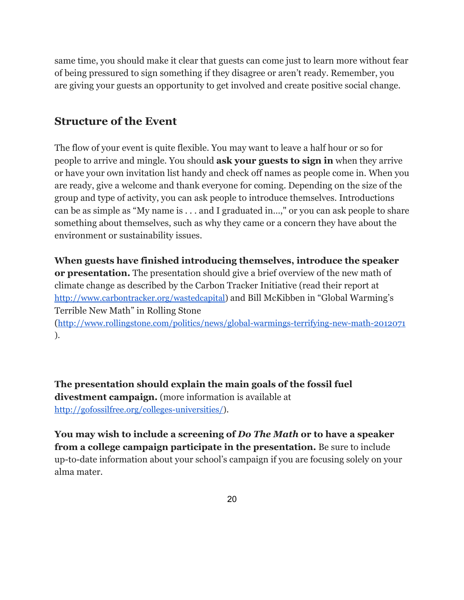same time, you should make it clear that guests can come just to learn more without fear of being pressured to sign something if they disagree or aren't ready. Remember, you are giving your guests an opportunity to get involved and create positive social change.

### **Structure of the Event**

The flow of your event is quite flexible. You may want to leave a half hour or so for people to arrive and mingle*.* You should **ask your guests to sign in** when they arrive or have your own invitation list handy and check off names as people come in. When you are ready, give a welcome and thank everyone for coming. Depending on the size of the group and type of activity, you can ask people to introduce themselves. Introductions can be as simple as "My name is . . . and I graduated in…," or you can ask people to share something about themselves, such as why they came or a concern they have about the environment or sustainability issues.

**When guests have finished introducing themselves, introduce the speaker or presentation.** The presentation should give a brief overview of the new math of climate change as described by the Carbon Tracker Initiative (read their report at [http://www.carbontracker.org/wastedcapital\)](http://www.google.com/url?q=http%3A%2F%2Fwww.carbontracker.org%2Fwastedcapital&sa=D&sntz=1&usg=AFQjCNFi0EEQkVhStkkeDPqBfdyI1HaRzw) and Bill McKibben in "Global Warming's Terrible New Math" in Rolling Stone

([http://www.rollingstone.com/politics/news/global-warmings-terrifying-new-math-2012071](http://www.google.com/url?q=http%3A%2F%2Fwww.rollingstone.com%2Fpolitics%2Fnews%2Fglobal-warmings-terrifying-new-math-20120719&sa=D&sntz=1&usg=AFQjCNHjz0i6EViIaTlCSE8gYF62Hje5Sg) ).

**The presentation should explain the main goals of the fossil fuel divestment campaign.** (more information is available at [http://gofossilfree.org/colleges-universities/\)](http://www.google.com/url?q=http%3A%2F%2Fgofossilfree.org%2Fcolleges-universities%2F&sa=D&sntz=1&usg=AFQjCNH6GBlreCNTYOHpZ4i3xxXBCjmw7w).

**You may wish to include a screening of** *Do The Math* **or to have a speaker from a college campaign participate in the presentation.** Be sure to include up-to-date information about your school's campaign if you are focusing solely on your alma mater.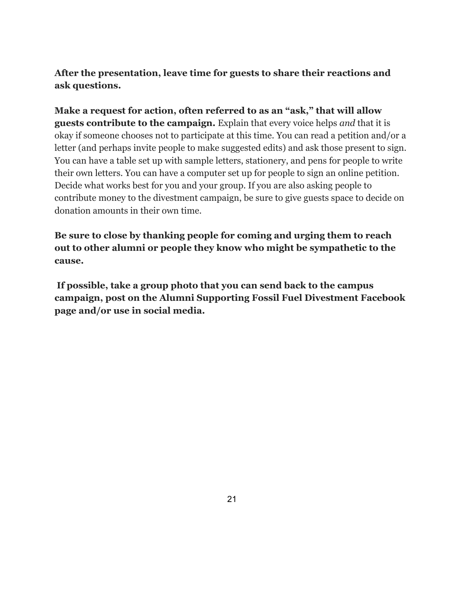### **After the presentation, leave time for guests to share their reactions and ask questions.**

**Make a request for action, often referred to as an "ask," that will allow guests contribute to the campaign.** Explain that every voice helps *and* that it is okay if someone chooses not to participate at this time. You can read a petition and/or a letter (and perhaps invite people to make suggested edits) and ask those present to sign. You can have a table set up with sample letters, stationery, and pens for people to write their own letters. You can have a computer set up for people to sign an online petition. Decide what works best for you and your group. If you are also asking people to contribute money to the divestment campaign, be sure to give guests space to decide on donation amounts in their own time.

**Be sure to close by thanking people for coming and urging them to reach out to other alumni or people they know who might be sympathetic to the cause.**

**If possible, take a group photo that you can send back to the campus campaign, post on the Alumni Supporting Fossil Fuel Divestment Facebook page and/or use in social media.**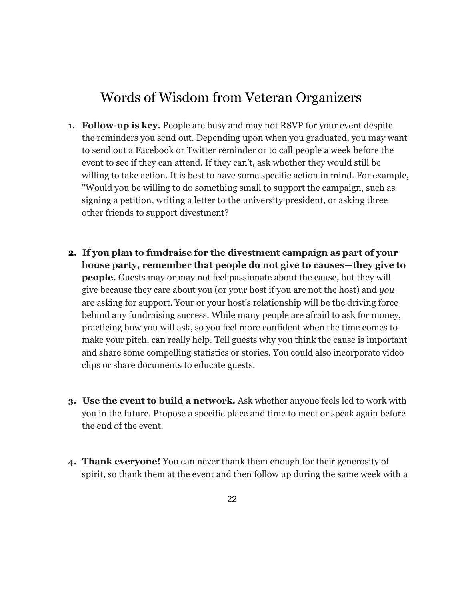## Words of Wisdom from Veteran Organizers

- **1. Follow-up is key.** People are busy and may not RSVP for your event despite the reminders you send out. Depending upon when you graduated, you may want to send out a Facebook or Twitter reminder or to call people a week before the event to see if they can attend. If they can't, ask whether they would still be willing to take action. It is best to have some specific action in mind. For example, "Would you be willing to do something small to support the campaign, such as signing a petition, writing a letter to the university president, or asking three other friends to support divestment?
- **2. If you plan to fundraise for the divestment campaign as part of your house party, remember that people do not give to causes—they give to people.** Guests may or may not feel passionate about the cause, but they will give because they care about you (or your host if you are not the host) and *you* are asking for support. Your or your host's relationship will be the driving force behind any fundraising success. While many people are afraid to ask for money, practicing how you will ask, so you feel more confident when the time comes to make your pitch, can really help. Tell guests why you think the cause is important and share some compelling statistics or stories. You could also incorporate video clips or share documents to educate guests.
- **3. Use the event to build a network.** Ask whether anyone feels led to work with you in the future. Propose a specific place and time to meet or speak again before the end of the event.
- **4. Thank everyone!** You can never thank them enough for their generosity of spirit, so thank them at the event and then follow up during the same week with a